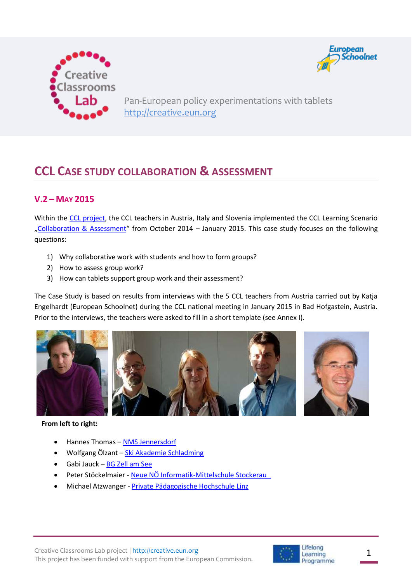



Pan-European policy experimentations with tablets [http://creative.eun.org](http://creative.eun.org/)

# **CCL CASE STUDY COLLABORATION & ASSESSMENT**

# **V.2 – MAY 2015**

Within the [CCL project,](http://creative.eun.org/home) the CCL teachers in Austria, Italy and Slovenia implemented the CCL Learning Scenario "[Collaboration & Assessment](http://creative.eun.org/c/document_library/get_file?uuid=8d79aca2-3162-42dd-acf2-cd438b486963&groupId=96459)" from October 2014 – January 2015. This case study focuses on the following questions:

- 1) Why collaborative work with students and how to form groups?
- 2) How to assess group work?
- 3) How can tablets support group work and their assessment?

The Case Study is based on results from interviews with the 5 CCL teachers from Austria carried out by Katja Engelhardt (European Schoolnet) during the CCL national meeting in January 2015 in Bad Hofgastein, Austria. Prior to the interviews, the teachers were asked to fill in a short template (see Annex I).



#### **From left to right:**

- Hannes Thomas [NMS Jennersdorf](http://www.hs-jennersdorf.at/)
- Wolfgang Ӧlzant [Ski Akademie Schladming](http://www.schladming.org/intro/)
- Gabi Jauck [BG Zell am See](http://gymzellnews.com/eine-seite/)
- Peter Stöckelmaier [Neue NÖ Informatik-Mittelschule Stockerau](http://www.infhs-stockerau.at/)
- Michael Atzwanger [Private Pädagogische Hochschule Linz](http://www.phdl.at/)

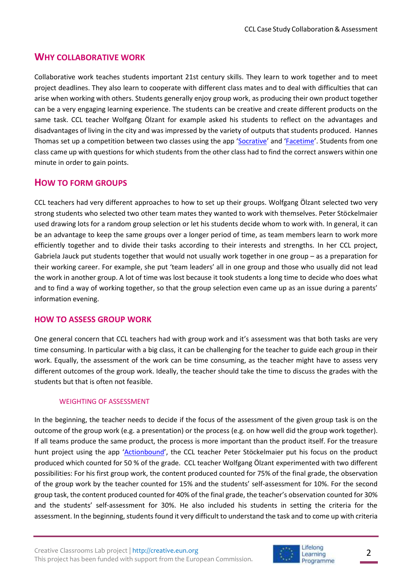## **WHY COLLABORATIVE WORK**

Collaborative work teaches students important 21st century skills. They learn to work together and to meet project deadlines. They also learn to cooperate with different class mates and to deal with difficulties that can arise when working with others. Students generally enjoy group work, as producing their own product together can be a very engaging learning experience. The students can be creative and create different products on the same task. CCL teacher Wolfgang Ӧlzant for example asked his students to reflect on the advantages and disadvantages of living in the city and was impressed by the variety of outputs that students produced. Hannes Thomas set up a competition between two classes using the app '[Socrative](http://www.socrative.com/)' and '[Facetime](http://www.imore.com/facetime-iphone-ipad)'. Students from one class came up with questions for which students from the other class had to find the correct answers within one minute in order to gain points.

## **HOW TO FORM GROUPS**

CCL teachers had very different approaches to how to set up their groups. Wolfgang Ӧlzant selected two very strong students who selected two other team mates they wanted to work with themselves. Peter Stöckelmaier used drawing lots for a random group selection or let his students decide whom to work with. In general, it can be an advantage to keep the same groups over a longer period of time, as team members learn to work more efficiently together and to divide their tasks according to their interests and strengths. In her CCL project, Gabriela Jauck put students together that would not usually work together in one group – as a preparation for their working career. For example, she put 'team leaders' all in one group and those who usually did not lead the work in another group. A lot of time was lost because it took students a long time to decide who does what and to find a way of working together, so that the group selection even came up as an issue during a parents' information evening.

### **HOW TO ASSESS GROUP WORK**

One general concern that CCL teachers had with group work and it's assessment was that both tasks are very time consuming. In particular with a big class, it can be challenging for the teacher to guide each group in their work. Equally, the assessment of the work can be time consuming, as the teacher might have to assess very different outcomes of the group work. Ideally, the teacher should take the time to discuss the grades with the students but that is often not feasible.

### WEIGHTING OF ASSESSMENT

In the beginning, the teacher needs to decide if the focus of the assessment of the given group task is on the outcome of the group work (e.g. a presentation) or the process (e.g. on how well did the group work together). If all teams produce the same product, the process is more important than the product itself. For the treasure hunt project using the app '[Actionbound](https://en.actionbound.com/)', the CCL teacher Peter Stöckelmaier put his focus on the product produced which counted for 50 % of the grade. CCL teacher Wolfgang Ӧlzant experimented with two different possibilities: For his first group work, the content produced counted for 75% of the final grade, the observation of the group work by the teacher counted for 15% and the students' self-assessment for 10%. For the second group task, the content produced counted for 40% of the final grade, the teacher's observation counted for 30% and the students' self-assessment for 30%. He also included his students in setting the criteria for the assessment. In the beginning, students found it very difficult to understand the task and to come up with criteria

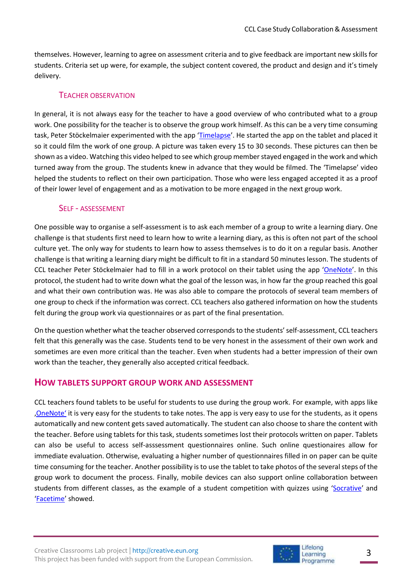themselves. However, learning to agree on assessment criteria and to give feedback are important new skills for students. Criteria set up were, for example, the subject content covered, the product and design and it's timely delivery.

### TEACHER OBSERVATION

In general, it is not always easy for the teacher to have a good overview of who contributed what to a group work. One possibility for the teacher is to observe the group work himself. As this can be a very time consuming task, Peter Stöckelmaier experimented with the app '[Timelapse](https://itunes.apple.com/en/app/timelapse/id301050966?mt=8)'. He started the app on the tablet and placed it so it could film the work of one group. A picture was taken every 15 to 30 seconds. These pictures can then be shown as a video. Watching this video helped to see which group member stayed engaged in the work and which turned away from the group. The students knew in advance that they would be filmed. The 'Timelapse' video helped the students to reflect on their own participation. Those who were less engaged accepted it as a proof of their lower level of engagement and as a motivation to be more engaged in the next group work.

### SELF - ASSESSEMENT

One possible way to organise a self-assessment is to ask each member of a group to write a learning diary. One challenge is that students first need to learn how to write a learning diary, as this is often not part of the school culture yet. The only way for students to learn how to assess themselves is to do it on a regular basis. Another challenge is that writing a learning diary might be difficult to fit in a standard 50 minutes lesson. The students of CCL teacher Peter Stöckelmaier had to fill in a work protocol on their tablet using the app '[OneNote](http://www.onenote.com/)'. In this protocol, the student had to write down what the goal of the lesson was, in how far the group reached this goal and what their own contribution was. He was also able to compare the protocols of several team members of one group to check if the information was correct. CCL teachers also gathered information on how the students felt during the group work via questionnaires or as part of the final presentation.

On the question whether what the teacher observed corresponds to the students' self-assessment, CCL teachers felt that this generally was the case. Students tend to be very honest in the assessment of their own work and sometimes are even more critical than the teacher. Even when students had a better impression of their own work than the teacher, they generally also accepted critical feedback.

### **HOW TABLETS SUPPORT GROUP WORK AND ASSESSMENT**

CCL teachers found tablets to be useful for students to use during the group work. For example, with apps like ['OneNote'](http://www.onenote.com/) it is very easy for the students to take notes. The app is very easy to use for the students, as it opens automatically and new content gets saved automatically. The student can also choose to share the content with the teacher. Before using tablets for this task, students sometimes lost their protocols written on paper. Tablets can also be useful to access self-asssessment questionnaires online. Such online questionaires allow for immediate evaluation. Otherwise, evaluating a higher number of questionnaires filled in on paper can be quite time consuming for the teacher. Another possibility is to use the tablet to take photos of the several steps of the group work to document the process. Finally, mobile devices can also support online collaboration between students from different classes, as the example of a student competition with quizzes using '[Socrative](http://www.socrative.com/)' and '[Facetime](http://www.imore.com/facetime-iphone-ipad)' showed.

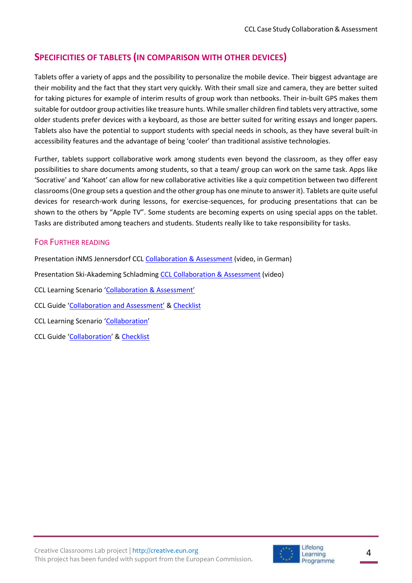# **SPECIFICITIES OF TABLETS (IN COMPARISON WITH OTHER DEVICES)**

Tablets offer a variety of apps and the possibility to personalize the mobile device. Their biggest advantage are their mobility and the fact that they start very quickly. With their small size and camera, they are better suited for taking pictures for example of interim results of group work than netbooks. Their in-built GPS makes them suitable for outdoor group activities like treasure hunts. While smaller children find tablets very attractive, some older students prefer devices with a keyboard, as those are better suited for writing essays and longer papers. Tablets also have the potential to support students with special needs in schools, as they have several built-in accessibility features and the advantage of being 'cooler' than traditional assistive technologies.

Further, tablets support collaborative work among students even beyond the classroom, as they offer easy possibilities to share documents among students, so that a team/ group can work on the same task. Apps like 'Socrative' and 'Kahoot' can allow for new collaborative activities like a quiz competition between two different classrooms (One group sets a question and the other group has one minute to answer it). Tablets are quite useful devices for research-work during lessons, for exercise-sequences, for producing presentations that can be shown to the others by "Apple TV". Some students are becoming experts on using special apps on the tablet. Tasks are distributed among teachers and students. Students really like to take responsibility for tasks.

## FOR FURTHER READING

Presentation iNMS Jennersdorf CCL [Collaboration & Assessment](https://www.youtube.com/watch?v=YZgariL0yHA&feature=youtu.be) (video, in German)

Presentation Ski-Akademing Schladming [CCL Collaboration & Assessment](http://creative.eun.org/videos) (video)

- CCL Learning Scenario '[Collaboration & Assessmen](http://creative.eun.org/c/document_library/get_file?uuid=8d79aca2-3162-42dd-acf2-cd438b486963&groupId=96459)t'
- CCL Guide ['Collaboration and Assessment'](http://creative.eun.org/c/document_library/get_file?uuid=cc91c707-e3ec-40a3-8e8c-99b971020250&groupId=96459) [& Checklist](http://creative.eun.org/c/document_library/get_file?uuid=884a67d5-8ed6-440b-af10-0f57eb05ac8e&groupId=96459)
- CCL Learning Scenario '[Collaboration](http://creative.eun.org/c/document_library/get_file?uuid=7d09448e-a79e-4817-b611-8fb9e0762f0a&groupId=96459)'
- CCL Guide '[Collaboration](http://creative.eun.org/c/document_library/get_file?uuid=003c8898-ba62-456f-9fda-249da083c397&groupId=96459)' & [Checklist](http://creative.eun.org/c/document_library/get_file?uuid=256f1ec1-cd27-45aa-8b51-83e67ffb31d5&groupId=96459)

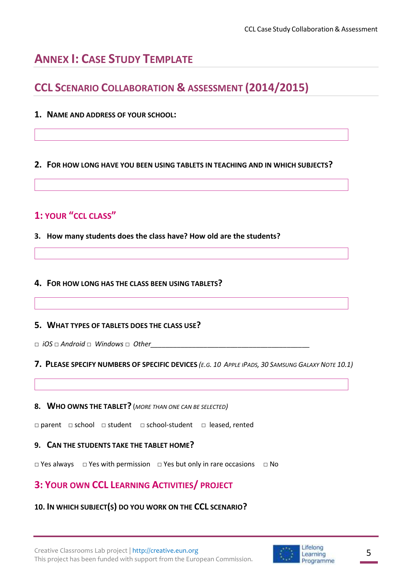# **ANNEX I: CASE STUDY TEMPLATE**

# **CCL SCENARIO COLLABORATION & ASSESSMENT (2014/2015)**

**1. NAME AND ADDRESS OF YOUR SCHOOL:**

### **2. FOR HOW LONG HAVE YOU BEEN USING TABLETS IN TEACHING AND IN WHICH SUBJECTS?**

# **1: YOUR "CCL CLASS"**

**3. How many students does the class have? How old are the students?** 

### **4. FOR HOW LONG HAS THE CLASS BEEN USING TABLETS?**

### **5. WHAT TYPES OF TABLETS DOES THE CLASS USE?**

□ *iOS* □ *Android* □ *Windows* □ *Other\_\_\_\_\_\_\_\_\_\_\_\_\_\_\_\_\_\_\_\_\_\_\_\_\_\_\_\_\_\_\_\_\_\_\_\_\_\_\_\_\_\_*

### 7. PLEASE SPECIFY NUMBERS OF SPECIFIC DEVICES (E.G. 10 APPLE IPADS, 30 SAMSUNG GALAXY NOTE 10.1)

### **8. WHO OWNS THE TABLET?** (*MORE THAN ONE CAN BE SELECTED)*

□ parent □ school □ student □ school-student □ leased, rented

### **9. CAN THE STUDENTS TAKE THE TABLET HOME?**

□ Yes always □ Yes with permission □ Yes but only in rare occasions □ No

# **3: YOUR OWN CCL LEARNING ACTIVITIES/ PROJECT**

## **10. IN WHICH SUBJECT(S) DO YOU WORK ON THE CCL SCENARIO?**

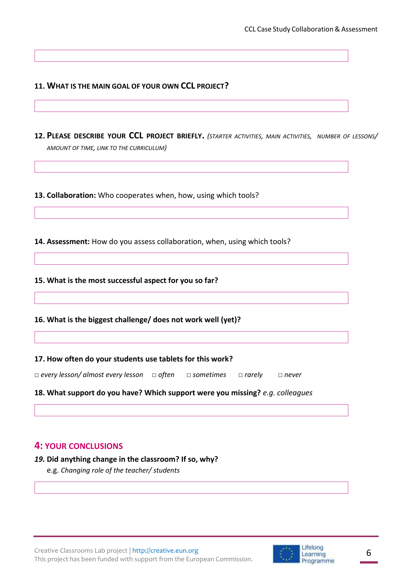### **11. WHAT IS THE MAIN GOAL OF YOUR OWN CCL PROJECT?**

**12. PLEASE DESCRIBE YOUR CCL PROJECT BRIEFLY.** *(STARTER ACTIVITIES, MAIN ACTIVITIES, NUMBER OF LESSONS/ AMOUNT OF TIME, LINK TO THE CURRICULUM)*

**13. Collaboration:** Who cooperates when, how, using which tools?

**14. Assessment:** How do you assess collaboration, when, using which tools?

### **15. What is the most successful aspect for you so far?**

**16. What is the biggest challenge/ does not work well (yet)?** 

#### **17. How often do your students use tablets for this work?**

*□ every lesson/ almost every lesson □ often □ sometimes □ rarely □ never*

### **18. What support do you have? Which support were you missing?** *e.g. colleagues*

### **4: YOUR CONCLUSIONS**

### *19.* **Did anything change in the classroom? If so, why?**

e.g. *Changing role of the teacher/ students*